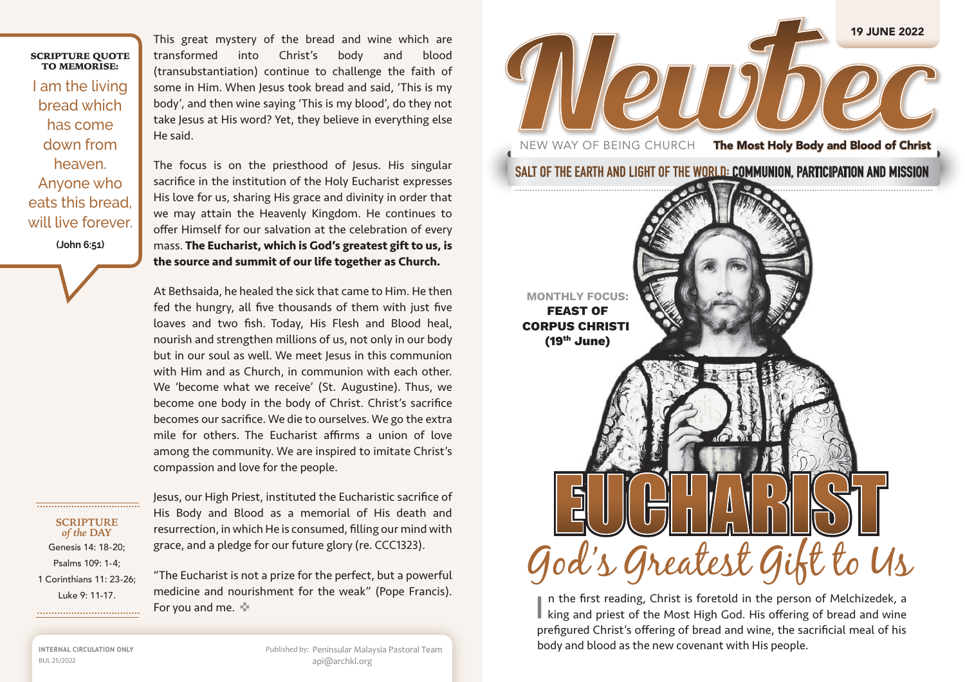## SCRIPTURE QUOTE TO MEMORISE:

I am the living bread which has come down from heaven. Anyone who eats this bread, will live forever. **(John 6:51)**

This great mystery of the bread and wine which are transformed into Christ's body and blood (transubstantiation) continue to challenge the faith of some in Him. When Jesus took bread and said, 'This is my body', and then wine saying 'This is my blood', do they not take Jesus at His word? Yet, they believe in everything else He said.

The focus is on the priesthood of Jesus. His singular sacrifice in the institution of the Holy Eucharist expresses His love for us, sharing His grace and divinity in order that we may attain the Heavenly Kingdom. He continues to offer Himself for our salvation at the celebration of every mass. **The Eucharist, which is God's greatest gift to us, is the source and summit of our life together as Church.** 

At Bethsaida, he healed the sick that came to Him. He then fed the hungry, all five thousands of them with just five loaves and two fish. Today, His Flesh and Blood heal, nourish and strengthen millions of us, not only in our body but in our soul as well. We meet Jesus in this communion with Him and as Church, in communion with each other. We 'become what we receive' (St. Augustine). Thus, we become one body in the body of Christ. Christ's sacrifice becomes our sacrifice. We die to ourselves. We go the extra mile for others. The Eucharist affirms a union of love among the community. We are inspired to imitate Christ's compassion and love for the people.

**SCRIPTURE**  *of the* **DAY** Genesis 14: 18-20; Psalms 109: 1-4; 1 Corinthians 11: 23-26; Luke 9: 11-17.

Jesus, our High Priest, instituted the Eucharistic sacrifice of His Body and Blood as a memorial of His death and resurrection, in which He is consumed, filling our mind with grace, and a pledge for our future glory (re. CCC1323).

"The Eucharist is not a prize for the perfect, but a powerful medicine and nourishment for the weak" (Pope Francis). For you and me.  $\div$ 

NEW WAY OF BEING CHURCH The Most Holy Body and Blood of Christ

**SALT OF THE EARTH AND LIGHT OF THE WORLD: COMMUNION, PARTICIPATION AND MISSION**

19 JUNE 2022



n the first reading, Christ is foretold in the person of Melchizedek, a In the first reading, Christ is foretold in the person of Melchizedek, a king and priest of the Most High God. His offering of bread and wine prefigured Christ's offering of bread and wine, the sacrificial meal of his body and blood as the new covenant with His people.

**INTERNAL CIRCULATION ONLY** BUL 25/2022

*Published by:* Peninsular Malaysia Pastoral Team api@archkl.org